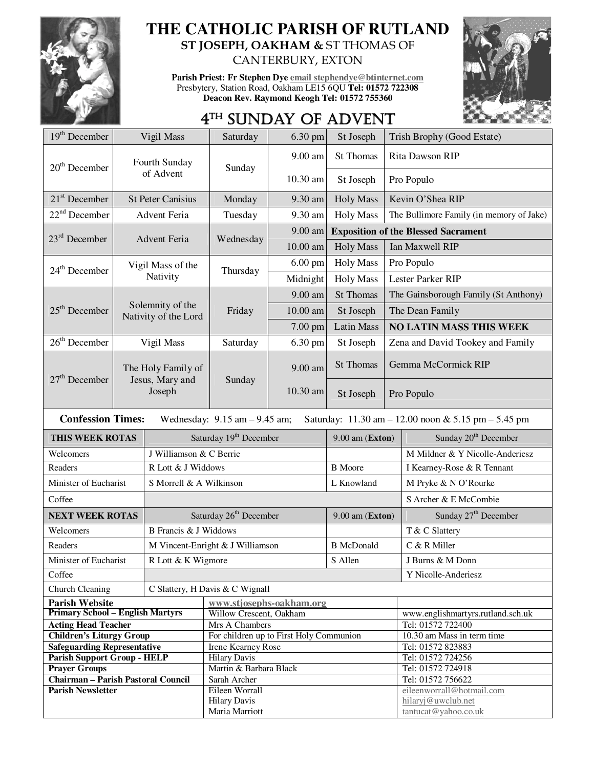

## **THE CATHOLIC PARISH OF RUTLAND ST JOSEPH, OAKHAM &** ST THOMAS OF

CANTERBURY, EXTON

**Parish Priest: Fr Stephen Dye email stephendye@btinternet.com** Presbytery, Station Road, Oakham LE15 6QU **Tel: 01572 722308 Deacon Rev. Raymond Keogh Tel: 01572 755360** 



## $4<sup>TH</sup>$  SUNDAY OF ADVENT

| $19th$ December                                                                                                     |                                                 | Vigil Mass                         | Saturday                                                  | 6.30 pm   | St Joseph                                       | Trish Brophy (Good Estate)                 |  |  |
|---------------------------------------------------------------------------------------------------------------------|-------------------------------------------------|------------------------------------|-----------------------------------------------------------|-----------|-------------------------------------------------|--------------------------------------------|--|--|
| $20th$ December                                                                                                     |                                                 | Fourth Sunday                      | Sunday                                                    | 9.00 am   | <b>St Thomas</b>                                | Rita Dawson RIP                            |  |  |
|                                                                                                                     | of Advent                                       |                                    |                                                           | 10.30 am  | St Joseph                                       | Pro Populo                                 |  |  |
| $21st$ December                                                                                                     | <b>St Peter Canisius</b>                        |                                    | Monday                                                    | 9.30 am   | <b>Holy Mass</b>                                | Kevin O'Shea RIP                           |  |  |
| $22nd$ December                                                                                                     |                                                 | <b>Advent Feria</b>                | Tuesday                                                   | 9.30 am   | <b>Holy Mass</b>                                | The Bullimore Family (in memory of Jake)   |  |  |
|                                                                                                                     |                                                 |                                    |                                                           | 9.00 am   |                                                 | <b>Exposition of the Blessed Sacrament</b> |  |  |
| $23rd$ December                                                                                                     |                                                 | Advent Feria                       | Wednesday                                                 | 10.00 am  | Ian Maxwell RIP<br><b>Holy Mass</b>             |                                            |  |  |
|                                                                                                                     |                                                 | Vigil Mass of the                  |                                                           | $6.00$ pm | <b>Holy Mass</b>                                | Pro Populo                                 |  |  |
| 24 <sup>th</sup> December                                                                                           |                                                 | Nativity                           | Thursday                                                  | Midnight  | <b>Holy Mass</b>                                | Lester Parker RIP                          |  |  |
|                                                                                                                     | Solemnity of the<br>Nativity of the Lord        |                                    | Friday                                                    | 9.00 am   | <b>St Thomas</b>                                | The Gainsborough Family (St Anthony)       |  |  |
| $25th$ December                                                                                                     |                                                 |                                    |                                                           | 10.00 am  | St Joseph                                       | The Dean Family                            |  |  |
|                                                                                                                     |                                                 |                                    |                                                           | 7.00 pm   | <b>Latin Mass</b>                               | <b>NO LATIN MASS THIS WEEK</b>             |  |  |
| $26th$ December                                                                                                     |                                                 | Vigil Mass                         | Saturday                                                  | 6.30 pm   | St Joseph                                       | Zena and David Tookey and Family           |  |  |
| $27th$ December                                                                                                     | The Holy Family of<br>Jesus, Mary and<br>Joseph |                                    | Sunday                                                    | 9.00 am   | St Thomas                                       | Gemma McCormick RIP                        |  |  |
|                                                                                                                     |                                                 |                                    |                                                           | 10.30 am  | St Joseph                                       | Pro Populo                                 |  |  |
| <b>Confession Times:</b><br>Wednesday: $9.15$ am $-9.45$ am;<br>Saturday: 11.30 am - 12.00 noon & 5.15 pm - 5.45 pm |                                                 |                                    |                                                           |           |                                                 |                                            |  |  |
| THIS WEEK ROTAS                                                                                                     |                                                 |                                    | Saturday 19 <sup>th</sup> December                        |           | $9.00$ am (Exton)                               | Sunday 20 <sup>th</sup> December           |  |  |
| Welcomers                                                                                                           |                                                 | J Williamson & C Berrie            |                                                           |           |                                                 | M Mildner & Y Nicolle-Anderiesz            |  |  |
| Readers                                                                                                             |                                                 | R Lott & J Widdows                 |                                                           |           | <b>B</b> Moore                                  | I Kearney-Rose & R Tennant                 |  |  |
| Minister of Eucharist                                                                                               |                                                 | S Morrell & A Wilkinson            |                                                           |           | L Knowland                                      | M Pryke & N O'Rourke                       |  |  |
| Coffee                                                                                                              |                                                 |                                    |                                                           |           | S Archer & E McCombie                           |                                            |  |  |
| <b>NEXT WEEK ROTAS</b>                                                                                              |                                                 | Saturday 26 <sup>th</sup> December |                                                           |           | $9.00$ am (Exton)                               | Sunday 27 <sup>th</sup> December           |  |  |
| Welcomers                                                                                                           |                                                 |                                    | <b>B</b> Francis & J Widdows                              |           |                                                 | T & C Slattery                             |  |  |
| Readers                                                                                                             |                                                 | M Vincent-Enright & J Williamson   |                                                           |           | <b>B</b> McDonald                               | C & R Miller                               |  |  |
| Minister of Eucharist                                                                                               |                                                 | R Lott & K Wigmore                 |                                                           |           | S Allen                                         | J Burns & M Donn                           |  |  |
| Coffee                                                                                                              |                                                 |                                    |                                                           |           | Y Nicolle-Anderiesz                             |                                            |  |  |
| Church Cleaning                                                                                                     | C Slattery, H Davis & C Wignall                 |                                    |                                                           |           |                                                 |                                            |  |  |
| <b>Parish Website</b>                                                                                               |                                                 |                                    | www.stjosephs-oakham.org                                  |           |                                                 |                                            |  |  |
| <b>Primary School - English Martyrs</b>                                                                             |                                                 |                                    | Willow Crescent, Oakham                                   |           |                                                 | www.englishmartyrs.rutland.sch.uk          |  |  |
| <b>Acting Head Teacher</b>                                                                                          |                                                 |                                    | Mrs A Chambers<br>For children up to First Holy Communion |           |                                                 | Tel: 01572 722400                          |  |  |
| <b>Children's Liturgy Group</b><br><b>Safeguarding Representative</b>                                               |                                                 |                                    | Irene Kearney Rose                                        |           | 10.30 am Mass in term time<br>Tel: 01572 823883 |                                            |  |  |
| <b>Parish Support Group - HELP</b>                                                                                  |                                                 |                                    | <b>Hilary Davis</b>                                       |           |                                                 | Tel: 01572 724256                          |  |  |
| <b>Prayer Groups</b>                                                                                                |                                                 |                                    | Martin & Barbara Black                                    |           |                                                 | Tel: 01572 724918                          |  |  |
| Chairman - Parish Pastoral Council                                                                                  |                                                 |                                    | Sarah Archer                                              |           |                                                 | Tel: 01572 756622                          |  |  |
| <b>Parish Newsletter</b>                                                                                            |                                                 |                                    | Eileen Worrall                                            |           |                                                 | eileenworrall@hotmail.com                  |  |  |
|                                                                                                                     |                                                 |                                    | <b>Hilary Davis</b>                                       |           |                                                 | hilaryj@uwclub.net                         |  |  |
|                                                                                                                     |                                                 |                                    | Maria Marriott                                            |           |                                                 | tantucat@yahoo.co.uk                       |  |  |